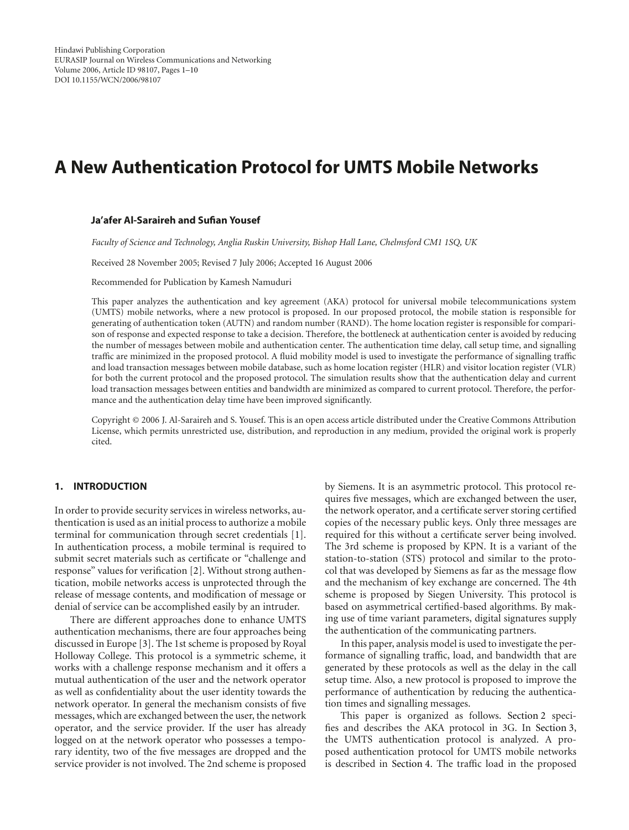# **A New Authentication Protocol for UMTS Mobile Networks**

#### **Ja'afer Al-Saraireh and Sufian Yousef**

*Faculty of Science and Technology, Anglia Ruskin University, Bishop Hall Lane, Chelmsford CM1 1SQ, UK*

Received 28 November 2005; Revised 7 July 2006; Accepted 16 August 2006

Recommended for Publication by Kamesh Namuduri

This paper analyzes the authentication and key agreement (AKA) protocol for universal mobile telecommunications system (UMTS) mobile networks, where a new protocol is proposed. In our proposed protocol, the mobile station is responsible for generating of authentication token (AUTN) and random number (RAND). The home location register is responsible for comparison of response and expected response to take a decision. Therefore, the bottleneck at authentication center is avoided by reducing the number of messages between mobile and authentication center. The authentication time delay, call setup time, and signalling traffic are minimized in the proposed protocol. A fluid mobility model is used to investigate the performance of signalling traffic and load transaction messages between mobile database, such as home location register (HLR) and visitor location register (VLR) for both the current protocol and the proposed protocol. The simulation results show that the authentication delay and current load transaction messages between entities and bandwidth are minimized as compared to current protocol. Therefore, the performance and the authentication delay time have been improved significantly.

Copyright © 2006 J. Al-Saraireh and S. Yousef. This is an open access article distributed under the Creative Commons Attribution License, which permits unrestricted use, distribution, and reproduction in any medium, provided the original work is properly cited.

### **1. INTRODUCTION**

In order to provide security services in wireless networks, authentication is used as an initial process to authorize a mobile terminal for communication through secret credentials [\[1](#page-9-1)]. In authentication process, a mobile terminal is required to submit secret materials such as certificate or "challenge and response" values for verification [\[2](#page-9-2)]. Without strong authentication, mobile networks access is unprotected through the release of message contents, and modification of message or denial of service can be accomplished easily by an intruder.

There are different approaches done to enhance UMTS authentication mechanisms, there are four approaches being discussed in Europe [\[3\]](#page-9-3). The 1st scheme is proposed by Royal Holloway College. This protocol is a symmetric scheme, it works with a challenge response mechanism and it offers a mutual authentication of the user and the network operator as well as confidentiality about the user identity towards the network operator. In general the mechanism consists of five messages, which are exchanged between the user, the network operator, and the service provider. If the user has already logged on at the network operator who possesses a temporary identity, two of the five messages are dropped and the service provider is not involved. The 2nd scheme is proposed

by Siemens. It is an asymmetric protocol. This protocol requires five messages, which are exchanged between the user, the network operator, and a certificate server storing certified copies of the necessary public keys. Only three messages are required for this without a certificate server being involved. The 3rd scheme is proposed by KPN. It is a variant of the station-to-station (STS) protocol and similar to the protocol that was developed by Siemens as far as the message flow and the mechanism of key exchange are concerned. The 4th scheme is proposed by Siegen University. This protocol is based on asymmetrical certified-based algorithms. By making use of time variant parameters, digital signatures supply the authentication of the communicating partners.

In this paper, analysis model is used to investigate the performance of signalling traffic, load, and bandwidth that are generated by these protocols as well as the delay in the call setup time. Also, a new protocol is proposed to improve the performance of authentication by reducing the authentication times and signalling messages.

This paper is organized as follows. [Section 2](#page-1-0) specifies and describes the AKA protocol in 3G. In [Section 3,](#page-2-0) the UMTS authentication protocol is analyzed. A proposed authentication protocol for UMTS mobile networks is described in [Section 4.](#page-5-0) The traffic load in the proposed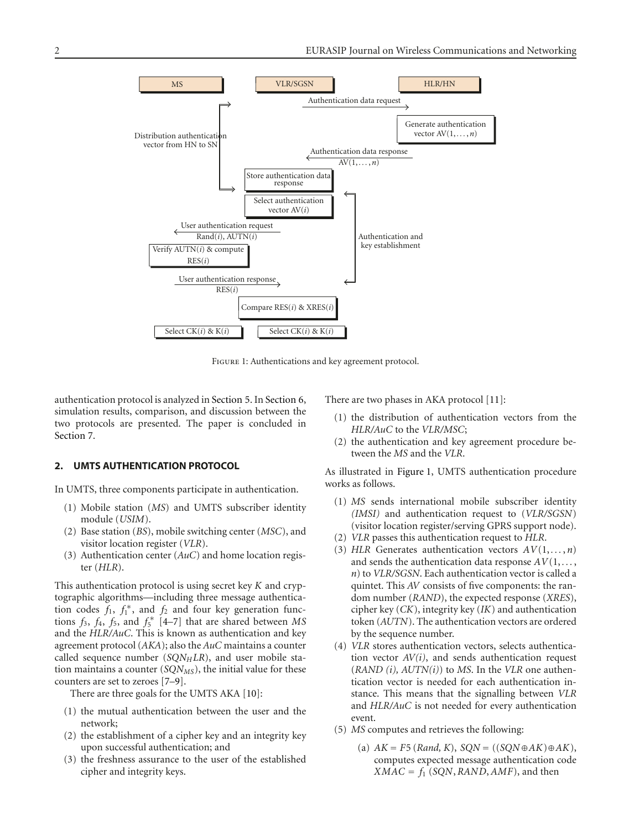

<span id="page-1-1"></span>FIGURE 1: Authentications and key agreement protocol.

authentication protocol is analyzed in [Section 5.](#page-5-1) In [Section 6,](#page-7-0) simulation results, comparison, and discussion between the two protocols are presented. The paper is concluded in [Section 7.](#page-9-4)

# <span id="page-1-0"></span>**2. UMTS AUTHENTICATION PROTOCOL**

In UMTS, three components participate in authentication.

- (1) Mobile station (*MS*) and UMTS subscriber identity module (*USIM*).
- (2) Base station (*BS*), mobile switching center (*MSC*), and visitor location register (*VLR*).
- (3) Authentication center (*AuC*) and home location register (*HLR*).

This authentication protocol is using secret key *K* and cryptographic algorithms—including three message authentication codes  $f_1$ ,  $f_1^*$ , and  $f_2$  and four key generation functions  $f_3$ ,  $f_4$ ,  $f_5$ , and  $f_5^*$  [\[4](#page-9-5)[–7\]](#page-9-6) that are shared between *MS* and the *HLR/AuC*. This is known as authentication and key agreement protocol (*AKA*); also the *AuC* maintains a counter called sequence number  $(SQN_HLR)$ , and user mobile station maintains a counter (*SQN<sub>MS</sub>*), the initial value for these counters are set to zeroes [\[7](#page-9-6)[–9\]](#page-9-7).

There are three goals for the UMTS AKA [\[10\]](#page-9-8):

- (1) the mutual authentication between the user and the network;
- (2) the establishment of a cipher key and an integrity key upon successful authentication; and
- (3) the freshness assurance to the user of the established cipher and integrity keys.

There are two phases in AKA protocol [\[11\]](#page-9-9):

- (1) the distribution of authentication vectors from the *HLR/AuC* to the *VLR/MSC*;
- (2) the authentication and key agreement procedure between the *MS* and the *VLR*.

As illustrated in [Figure 1,](#page-1-1) UMTS authentication procedure works as follows.

- (1) *MS* sends international mobile subscriber identity *(IMSI)* and authentication request to (*VLR/SGSN*) (visitor location register/serving GPRS support node).
- (2) *VLR* passes this authentication request to *HLR*.
- (3) *HLR* Generates authentication vectors  $AV(1, \ldots, n)$ and sends the authentication data response  $AV(1, \ldots,$ *n*) to *VLR/SGSN*. Each authentication vector is called a quintet. This *AV* consists of five components: the random number (*RAND*), the expected response (*XRES*), cipher key (*CK*), integrity key (*IK*) and authentication token (*AUTN*). The authentication vectors are ordered by the sequence number.
- (4) *VLR* stores authentication vectors, selects authentication vector *AV(i)*, and sends authentication request (*RAND (i), AUTN(i)*) to *MS*. In the *VLR* one authentication vector is needed for each authentication instance. This means that the signalling between *VLR* and *HLR/AuC* is not needed for every authentication event.
- (5) *MS* computes and retrieves the following:
	- (a)  $AK = F5$  (*Rand, K*),  $SQN = ((SQN \oplus AK) \oplus AK)$ , computes expected message authentication code  $XMAC = f_1$  (*SQN*, *RAND*, *AMF*), and then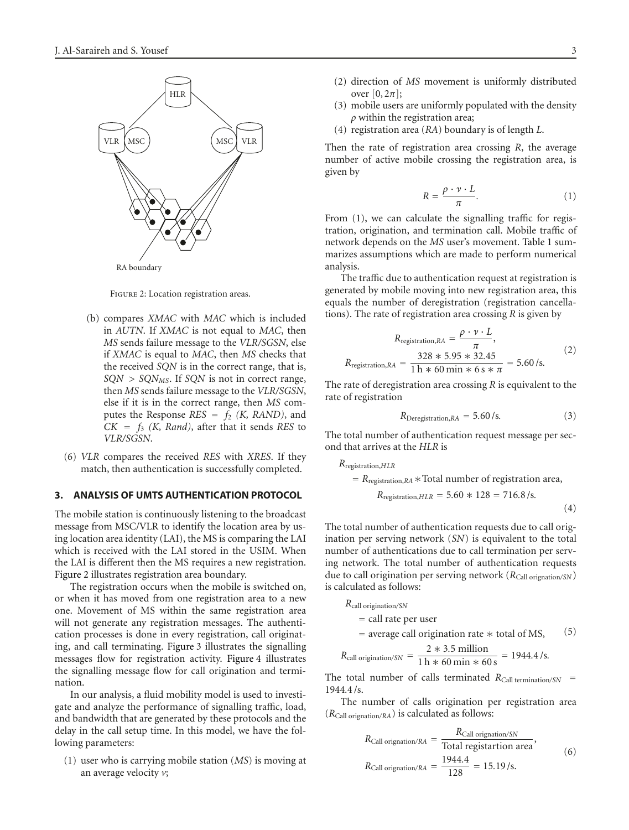

FIGURE 2: Location registration areas.

- <span id="page-2-1"></span>(b) compares *XMAC* with *MAC* which is included in *AUTN*. If *XMAC* is not equal to *MAC*, then *MS* sends failure message to the *VLR/SGSN*, else if *XMAC* is equal to *MAC*, then *MS* checks that the received *SQN* is in the correct range, that is,  $SQN > SQN<sub>MS</sub>$ . If *SQN* is not in correct range, then *MS* sends failure message to the *VLR/SGSN*, else if it is in the correct range, then *MS* computes the Response  $RES = f_2$  (*K, RAND*), and  $CK = f_3$  (*K, Rand*), after that it sends *RES* to *VLR/SGSN*.
- (6) *VLR* compares the received *RES* with *XRES*. If they match, then authentication is successfully completed.

## <span id="page-2-0"></span>**3. ANALYSIS OF UMTS AUTHENTICATION PROTOCOL**

The mobile station is continuously listening to the broadcast message from MSC/VLR to identify the location area by using location area identity (LAI), the MS is comparing the LAI which is received with the LAI stored in the USIM. When the LAI is different then the MS requires a new registration. [Figure 2](#page-2-1) illustrates registration area boundary.

The registration occurs when the mobile is switched on, or when it has moved from one registration area to a new one. Movement of MS within the same registration area will not generate any registration messages. The authentication processes is done in every registration, call originating, and call terminating. [Figure 3](#page-3-0) illustrates the signalling messages flow for registration activity. [Figure 4](#page-4-0) illustrates the signalling message flow for call origination and termination.

In our analysis, a fluid mobility model is used to investigate and analyze the performance of signalling traffic, load, and bandwidth that are generated by these protocols and the delay in the call setup time. In this model, we have the following parameters:

(1) user who is carrying mobile station (*MS*) is moving at an average velocity *v*;

- (2) direction of *MS* movement is uniformly distributed over  $[0, 2\pi]$ ;
- (3) mobile users are uniformly populated with the density *ρ* within the registration area;
- (4) registration area (*RA*) boundary is of length *L*.

Then the rate of registration area crossing *R*, the average number of active mobile crossing the registration area, is given by

<span id="page-2-2"></span>
$$
R = \frac{\rho \cdot \nu \cdot L}{\pi}.
$$
 (1)

From  $(1)$ , we can calculate the signalling traffic for registration, origination, and termination call. Mobile traffic of network depends on the *MS* user's movement. [Table 1](#page-4-1) summarizes assumptions which are made to perform numerical analysis.

The traffic due to authentication request at registration is generated by mobile moving into new registration area, this equals the number of deregistration (registration cancellations). The rate of registration area crossing *R* is given by

$$
R_{\text{registration,RA}} = \frac{\rho \cdot \nu \cdot L}{\pi},
$$
  
\n
$$
R_{\text{registration,RA}} = \frac{328 \times 5.95 \times 32.45}{1 \text{ h} \times 60 \text{ min} \times 6 \text{ s} \times \pi} = 5.60 \text{/s.}
$$
 (2)

The rate of deregistration area crossing *R* is equivalent to the rate of registration

$$
R_{\text{Deregistration}, RA} = 5.60 \text{/s.}
$$
 (3)

of registration area,

The total number of authentication request message per second that arrives at the *HLR* is

$$
R_{\text{registration},HLR}
$$
  
=  $R_{\text{registration},RA}$  \* Total number

$$
R_{\text{registration,HLR}} = 5.60 \times 128 = 716.8 \text{/s.}
$$
\n(4)

The total number of authentication requests due to call origination per serving network (*SN*) is equivalent to the total number of authentications due to call termination per serving network. The total number of authentication requests due to call origination per serving network ( $R_{\text{Call origination/SN}}$ ) is calculated as follows:

$$
R_{\text{call origination/SN}} = \text{call rate per user}
$$
\n
$$
= \text{average call origination rate} * \text{total of MS}, \qquad (5)
$$
\n
$$
R_{\text{call origination/SN}} = \frac{2 * 3.5 \text{ million}}{1 \text{ h} * 60 \text{ min} * 60 \text{ s}} = 1944.4 / \text{s}.
$$

The total number of calls terminated  $R_{\text{Call termination}/SN}$  = 1944*.*4 /s.

The number of calls origination per registration area (*R*Call orignation*/RA*) is calculated as follows:

$$
R_{\text{Call origination/RA}} = \frac{R_{\text{Call origination/SN}}}{\text{Total registration area}},
$$
  
 
$$
R_{\text{Call origination/RA}} = \frac{1944.4}{128} = 15.19 \text{/s.}
$$
 (6)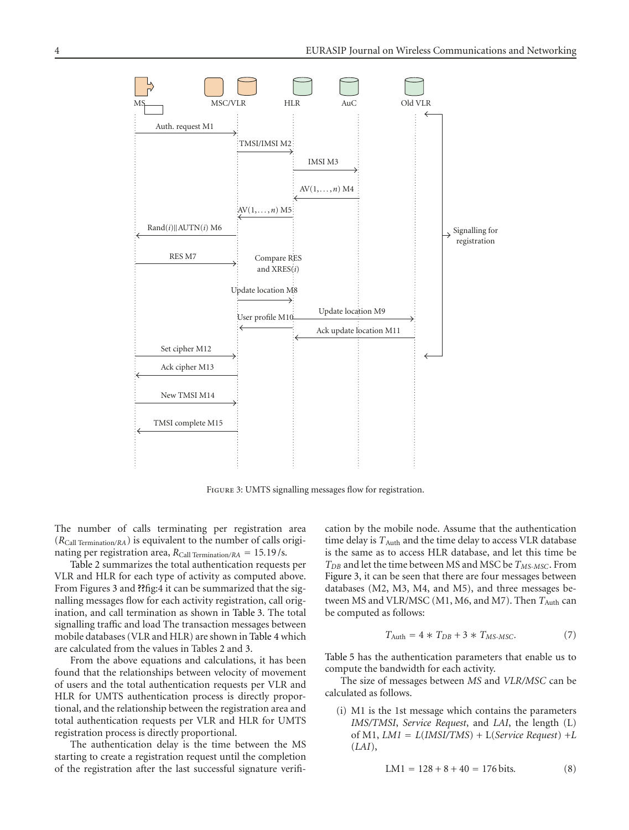

<span id="page-3-0"></span>Figure 3: UMTS signalling messages flow for registration.

The number of calls terminating per registration area (*R*Call Termination*/RA*) is equivalent to the number of calls originating per registration area,  $R_{\text{Call Termination/RA}} = 15.19$ /s.

[Table 2](#page-4-2) summarizes the total authentication requests per VLR and HLR for each type of activity as computed above. From Figures [3](#page-3-0) and **??**fig:4 it can be summarized that the signalling messages flow for each activity registration, call origination, and call termination as shown in [Table 3.](#page-4-3) The total signalling traffic and load The transaction messages between mobile databases (VLR and HLR) are shown in [Table 4](#page-4-4) which are calculated from the values in Tables [2](#page-4-2) and [3.](#page-4-3)

From the above equations and calculations, it has been found that the relationships between velocity of movement of users and the total authentication requests per VLR and HLR for UMTS authentication process is directly proportional, and the relationship between the registration area and total authentication requests per VLR and HLR for UMTS registration process is directly proportional.

The authentication delay is the time between the MS starting to create a registration request until the completion of the registration after the last successful signature verification by the mobile node. Assume that the authentication time delay is  $T_{\text{Auth}}$  and the time delay to access VLR database is the same as to access HLR database, and let this time be  $T_{DB}$  and let the time between MS and MSC be  $T_{MS\text{-}MSC}$ . From [Figure 3,](#page-3-0) it can be seen that there are four messages between databases (M2, M3, M4, and M5), and three messages between MS and VLR/MSC (M1, M6, and M7). Then  $T_{\text{Auth}}$  can be computed as follows:

<span id="page-3-1"></span>
$$
T_{\text{Auth}} = 4 \times T_{DB} + 3 \times T_{MS\text{-}MSC}.\tag{7}
$$

[Table 5](#page-4-5) has the authentication parameters that enable us to compute the bandwidth for each activity.

The size of messages between *MS* and *VLR/MSC* can be calculated as follows.

(i) M1 is the 1st message which contains the parameters *IMS/TMSI*, *Service Request*, and *LAI*, the length (L) of M1, *LM1* <sup>=</sup> *<sup>L</sup>*(*IMSI/TMS*) + L(*Service Request*) +*<sup>L</sup>* (*LAI*),

$$
LM1 = 128 + 8 + 40 = 176 \text{ bits.}
$$
 (8)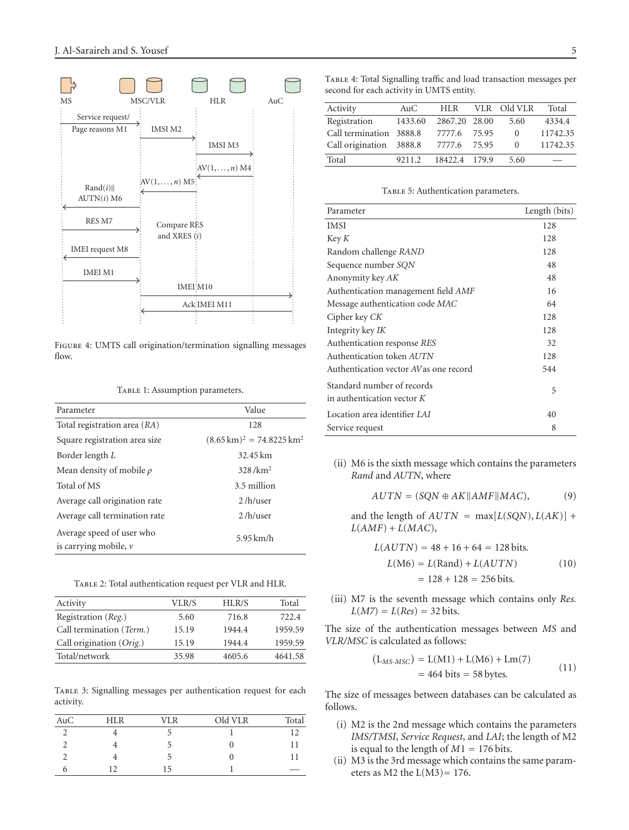

<span id="page-4-0"></span>Figure 4: UMTS call origination/termination signalling messages flow.

TABLE 1: Assumption parameters.

<span id="page-4-1"></span>

| Parameter                                              | Value                                        |
|--------------------------------------------------------|----------------------------------------------|
| Total registration area (RA)                           | 128                                          |
| Square registration area size                          | $(8.65 \text{ km})^2 = 74.8225 \text{ km}^2$ |
| Border length L                                        | 32.45 km                                     |
| Mean density of mobile $\rho$                          | 328/km <sup>2</sup>                          |
| Total of MS                                            | 3.5 million                                  |
| Average call origination rate                          | $2/h$ /user                                  |
| Average call termination rate                          | $2/h$ /user                                  |
| Average speed of user who<br>is carrying mobile, $\nu$ | $5.95$ km/h                                  |

TABLE 2: Total authentication request per VLR and HLR.

<span id="page-4-2"></span>

| Activity                 | VLR/S | HLR/S  | Total   |
|--------------------------|-------|--------|---------|
| Registration (Reg.)      | 5.60  | 716.8  | 722.4   |
| Call termination (Term.) | 15.19 | 1944.4 | 1959.59 |
| Call origination (Orig.) | 15.19 | 1944.4 | 1959.59 |
| Total/network            | 35.98 | 4605.6 | 4641.58 |

<span id="page-4-3"></span>TABLE 3: Signalling messages per authentication request for each activity.

| AuC | HLR | <b>VLR</b> | Old VLR | Total |
|-----|-----|------------|---------|-------|
|     |     |            |         |       |
|     |     |            |         |       |
|     |     |            |         |       |
|     |     | 15         |         |       |

<span id="page-4-4"></span>Table 4: Total Signalling traffic and load transaction messages per second for each activity in UMTS entity.

| Activity                | Au $C$  | HLR           |       | VLR Old VLR  | Total    |
|-------------------------|---------|---------------|-------|--------------|----------|
| Registration            | 1433.60 | 2867.20 28.00 |       | 5.60         | 4334.4   |
| Call termination 3888.8 |         | 7777.6        | 75.95 | $\theta$     | 11742.35 |
| Call origination 3888.8 |         | 7777.6        | 75.95 | $\mathbf{0}$ | 11742.35 |
| Total                   | 9211.2  | 18422.4 179.9 |       | 5.60         |          |

<span id="page-4-5"></span>

| Parameter                              | Length (bits) |
|----------------------------------------|---------------|
| <b>IMSI</b>                            | 128           |
| Key K                                  | 128           |
| Random challenge RAND                  | 128           |
| Sequence number SQN                    | 48            |
| Anonymity key AK                       | 48            |
| Authentication management field AMF    | 16            |
| Message authentication code MAC        | 64            |
| Cipher key CK                          | 128           |
| Integrity key IK                       | 128           |
| Authentication response RES            | 32            |
| Authentication token AUTN              | 128           |
| Authentication vector AV as one record | 544           |
| Standard number of records             | 5             |
| in authentication vector K             |               |
| Location area identifier LAI           | 40            |
| Service request                        | 8             |

(ii) M6 is the sixth message which contains the parameters *Rand* and *AUTN*, where

$$
AUTN = (SQN \oplus AK||AMF||MAC), \tag{9}
$$

and the length of  $AUTN = \max[L(SQN), L(AK)] +$  $L(AMF) + L(MAC)$ ,

$$
L(AUTN) = 48 + 16 + 64 = 128 \text{ bits.}
$$
  
\n
$$
L(M6) = L(Rand) + L(AUTN)
$$
  
\n
$$
= 128 + 128 = 256 \text{ bits.}
$$
\n(10)

(iii) M7 is the seventh message which contains only *Res.*  $L(M7) = L(Res) = 32 \text{ bits.}$ 

The size of the authentication messages between *MS* and *VLR/MSC* is calculated as follows:

$$
(L_{MS-MSC}) = L(M1) + L(M6) + Lm(7)
$$
  
= 464 bits = 58 bytes. (11)

The size of messages between databases can be calculated as follows.

- (i) M2 is the 2nd message which contains the parameters *IMS/TMSI*, *Service Request*, and *LAI*; the length of M2 is equal to the length of  $M1 = 176$  bits.
- (ii) M3 is the 3rd message which contains the same parameters as M2 the  $L(M3) = 176$ .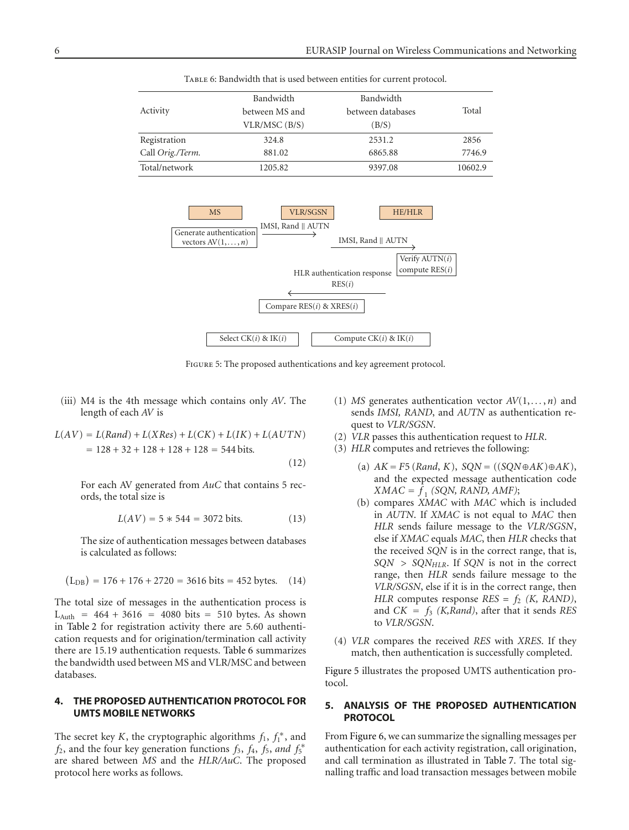<span id="page-5-2"></span>

|                  | Bandwidth      | Bandwidth         |         |
|------------------|----------------|-------------------|---------|
| Activity         | between MS and | between databases | Total   |
|                  | VLR/MSC(B/S)   | (B/S)             |         |
| Registration     | 324.8          | 2531.2            | 2856    |
| Call Orig./Term. | 881.02         | 6865.88           | 7746.9  |
| Total/network    | 1205.82        | 9397.08           | 10602.9 |

TABLE 6: Bandwidth that is used between entities for current protocol.



<span id="page-5-3"></span>Figure 5: The proposed authentications and key agreement protocol.

(iii) M4 is the 4th message which contains only *AV*. The length of each *AV* is

$$
L(AV) = L(Rand) + L(XRes) + L(CK) + L(IK) + L(AUTN)
$$
  
= 128 + 32 + 128 + 128 + 128 = 544 bits.

(12)

For each AV generated from *AuC* that contains 5 records, the total size is

$$
L(AV) = 5 * 544 = 3072 \text{ bits.}
$$
 (13)

The size of authentication messages between databases is calculated as follows:

$$
(L_{DB}) = 176 + 176 + 2720 = 3616 bits = 452 bytes. (14)
$$

The total size of messages in the authentication process is  $L_{\text{Auth}}$  = 464 + 3616 = 4080 bits = 510 bytes. As shown in [Table 2](#page-4-2) for registration activity there are 5*.*60 authentication requests and for origination/termination call activity there are 15*.*19 authentication requests. [Table 6](#page-5-2) summarizes the bandwidth used between MS and VLR/MSC and between databases.

### <span id="page-5-0"></span>**4. THE PROPOSED AUTHENTICATION PROTOCOL FOR UMTS MOBILE NETWORKS**

The secret key *K*, the cryptographic algorithms  $f_1$ ,  $f_1^*$ , and  $f_2$ , and the four key generation functions  $f_3$ ,  $f_4$ ,  $f_5$ , and  $f_5^*$ are shared between *MS* and the *HLR/AuC*. The proposed protocol here works as follows.

- (1) *MS* generates authentication vector  $AV(1, \ldots, n)$  and sends *IMSI, RAND*, and *AUTN* as authentication request to *VLR/SGSN*.
- (2) *VLR* passes this authentication request to *HLR*.
- (3) *HLR* computes and retrieves the following:
	- $(A)$   $AK = F5$  (*Rand*, *K*),  $SQN = ((SQN \oplus AK) \oplus AK)$ , and the expected message authentication code  $XMAC = f<sub>1</sub>$  *(SQN, RAND, AMF)*;
	- (b) compares *XMAC* with *MAC* which is included in *AUTN*. If *XMAC* is not equal to *MAC* then *HLR* sends failure message to the *VLR/SGSN*, else if *XMAC* equals *MAC*, then *HLR* checks that the received *SQN* is in the correct range, that is, *SQN > SQNHLR*. If *SQN* is not in the correct range, then *HLR* sends failure message to the *VLR/SGSN*, else if it is in the correct range, then *HLR* computes response *RES* =  $f_2$  *(K, RAND)*, and *CK* <sup>=</sup> *<sup>f</sup>*<sup>3</sup> *(K,Rand)*, after that it sends *RES* to *VLR/SGSN*.
- (4) *VLR* compares the received *RES* with *XRES*. If they match, then authentication is successfully completed.

[Figure 5](#page-5-3) illustrates the proposed UMTS authentication protocol.

#### <span id="page-5-1"></span>**5. ANALYSIS OF THE PROPOSED AUTHENTICATION PROTOCOL**

From [Figure 6,](#page-6-0) we can summarize the signalling messages per authentication for each activity registration, call origination, and call termination as illustrated in [Table 7.](#page-6-1) The total signalling traffic and load transaction messages between mobile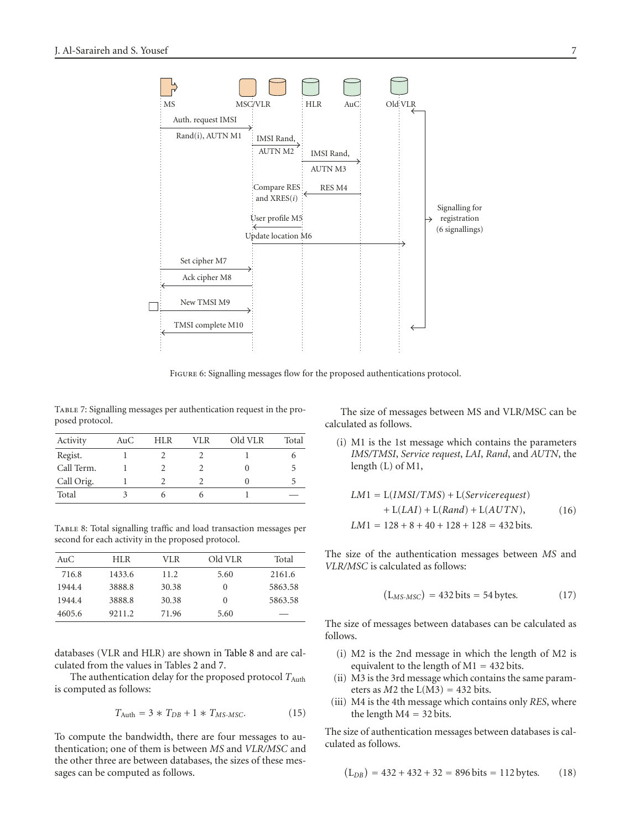

<span id="page-6-0"></span>FIGURE 6: Signalling messages flow for the proposed authentications protocol.

<span id="page-6-1"></span>TABLE 7: Signalling messages per authentication request in the proposed protocol.

| Activity   | AuC | HLR | VLR | Old VLR | Total |
|------------|-----|-----|-----|---------|-------|
| Regist.    |     |     |     |         |       |
| Call Term. |     |     |     |         |       |
| Call Orig. |     |     |     |         |       |
| Total      |     | n   |     |         |       |

<span id="page-6-2"></span>TABLE 8: Total signalling traffic and load transaction messages per second for each activity in the proposed protocol.

| AuC    | HLR.   | VLR.  | Old VLR  | Total   |
|--------|--------|-------|----------|---------|
| 716.8  | 1433.6 | 11.2  | 5.60     | 2161.6  |
| 1944.4 | 3888.8 | 30.38 |          | 5863.58 |
| 1944.4 | 3888.8 | 30.38 | $\theta$ | 5863.58 |
| 4605.6 | 9211.2 | 71.96 | 5.60     |         |

databases (VLR and HLR) are shown in [Table 8](#page-6-2) and are calculated from the values in Tables [2](#page-4-2) and [7.](#page-6-1)

The authentication delay for the proposed protocol  $T_{\text{Auth}}$ is computed as follows:

<span id="page-6-3"></span>
$$
T_{\text{Auth}} = 3 \times T_{DB} + 1 \times T_{MS\text{-}MSC}.\tag{15}
$$

To compute the bandwidth, there are four messages to authentication; one of them is between *MS* and *VLR/MSC* and the other three are between databases, the sizes of these messages can be computed as follows.

The size of messages between MS and VLR/MSC can be calculated as follows.

(i) M1 is the 1st message which contains the parameters *IMS/TMSI*, *Service request*, *LAI*, *Rand*, and *AUTN*, the length (L) of M1,

$$
LM1 = L(IMSI/TMS) + L(Servicerequest)
$$
  
+ L(LAI) + L(Rand) + L(AUTN), (16)  
LM1 = 128 + 8 + 40 + 128 + 128 = 432 bits.

The size of the authentication messages between *MS* and *VLR/MSC* is calculated as follows:

$$
(L_{MS\text{-}MSC}) = 432 \text{ bits} = 54 \text{ bytes.}
$$
 (17)

The size of messages between databases can be calculated as follows.

- (i) M2 is the 2nd message in which the length of M2 is equivalent to the length of  $M1 = 432$  bits.
- (ii) M3 is the 3rd message which contains the same parameters as  $M2$  the  $L(M3) = 432$  bits.
- (iii) M4 is the 4th message which contains only *RES*, where the length  $M4 = 32$  bits.

The size of authentication messages between databases is calculated as follows.

$$
(L_{DB}) = 432 + 432 + 32 = 896 \text{ bits} = 112 \text{ bytes.}
$$
 (18)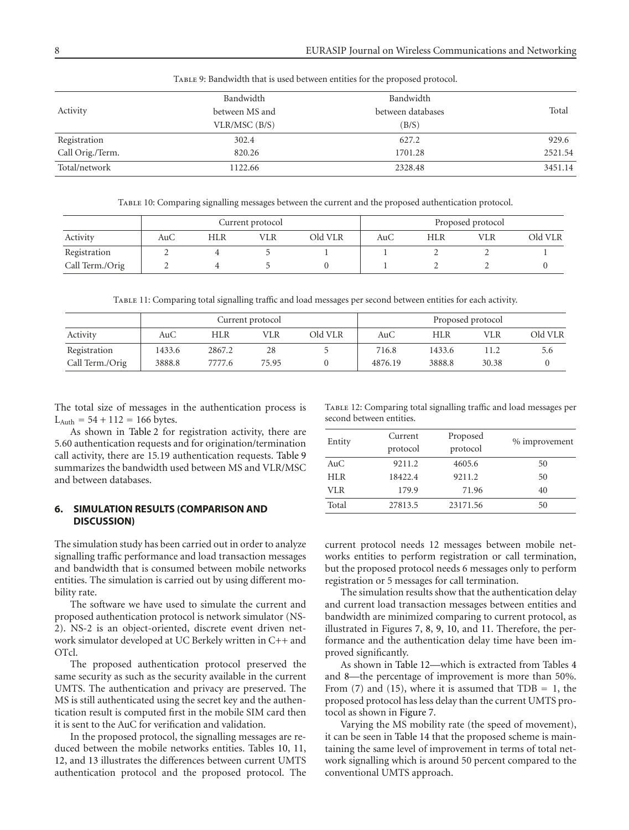|                  | Bandwidth      | Bandwidth         |         |
|------------------|----------------|-------------------|---------|
| Activity         | between MS and | between databases | Total   |
|                  | VLR/MSC(B/S)   | (B/S)             |         |
| Registration     | 302.4          | 627.2             | 929.6   |
| Call Orig./Term. | 820.26         | 1701.28           | 2521.54 |
| Total/network    | 1122.66        | 2328.48           | 3451.14 |

<span id="page-7-1"></span>Table 9: Bandwidth that is used between entities for the proposed protocol.

Table 10: Comparing signalling messages between the current and the proposed authentication protocol.

<span id="page-7-2"></span>

|                 | Current protocol |            |     |         |     | Proposed protocol |     |         |
|-----------------|------------------|------------|-----|---------|-----|-------------------|-----|---------|
| Activity        | AuC              | <b>HLR</b> | VLR | Old VLR | AuC | HLR               | VLR | Old VLR |
| Registration    |                  |            |     |         |     |                   |     |         |
| Call Term./Orig |                  |            |     |         |     |                   |     |         |

Table 11: Comparing total signalling traffic and load messages per second between entities for each activity.

<span id="page-7-3"></span>

|                 | Current protocol |            |       |         |         | Proposed protocol |            |         |
|-----------------|------------------|------------|-------|---------|---------|-------------------|------------|---------|
| Activity        | AuC              | <b>HLR</b> | VLR   | Old VLR | AuC     | <b>HLR</b>        | <b>VLR</b> | Old VLR |
| Registration    | 1433.6           | 2867.2     | 28    |         | 716.8   | 1433.6            |            | 5.6     |
| Call Term./Orig | 3888.8           | 7777.6     | 75.95 |         | 4876.19 | 3888.8            | 30.38      |         |

The total size of messages in the authentication process is  $L_{\text{Auth}} = 54 + 112 = 166 \text{ bytes.}$ 

As shown in [Table 2](#page-4-2) for registration activity, there are 5*.*60 authentication requests and for origination/termination call activity, there are 15*.*19 authentication requests. [Table 9](#page-7-1) summarizes the bandwidth used between MS and VLR/MSC and between databases.

## <span id="page-7-0"></span>**6. SIMULATION RESULTS (COMPARISON AND DISCUSSION)**

The simulation study has been carried out in order to analyze signalling traffic performance and load transaction messages and bandwidth that is consumed between mobile networks entities. The simulation is carried out by using different mobility rate.

The software we have used to simulate the current and proposed authentication protocol is network simulator (NS-2). NS-2 is an object-oriented, discrete event driven network simulator developed at UC Berkely written in C++ and OTcl.

The proposed authentication protocol preserved the same security as such as the security available in the current UMTS. The authentication and privacy are preserved. The MS is still authenticated using the secret key and the authentication result is computed first in the mobile SIM card then it is sent to the AuC for verification and validation.

In the proposed protocol, the signalling messages are reduced between the mobile networks entities. Tables [10,](#page-7-2) [11,](#page-7-3) [12,](#page-7-4) and [13](#page-8-0) illustrates the differences between current UMTS authentication protocol and the proposed protocol. The

<span id="page-7-4"></span>TABLE 12: Comparing total signalling traffic and load messages per second between entities.

| Entity          | Current<br>protocol | Proposed<br>protocol | % improvement |
|-----------------|---------------------|----------------------|---------------|
| Au $\mathcal C$ | 9211.2              | 4605.6               | 50            |
| <b>HLR</b>      | 18422.4             | 9211.2               | 50            |
| VLR             | 179.9               | 71.96                | 40            |
| Total           | 27813.5             | 23171.56             | 50            |

current protocol needs 12 messages between mobile networks entities to perform registration or call termination, but the proposed protocol needs 6 messages only to perform registration or 5 messages for call termination.

The simulation results show that the authentication delay and current load transaction messages between entities and bandwidth are minimized comparing to current protocol, as illustrated in Figures [7,](#page-8-1) [8,](#page-8-2) [9,](#page-8-3) [10,](#page-8-4) and [11.](#page-8-5) Therefore, the performance and the authentication delay time have been improved significantly.

As shown in [Table 12—](#page-7-4)which is extracted from Tables [4](#page-4-4) and [8—](#page-6-2)the percentage of improvement is more than 50%. From [\(7\)](#page-3-1) and [\(15\)](#page-6-3), where it is assumed that  $TDB = 1$ , the proposed protocol has less delay than the current UMTS protocol as shown in [Figure 7.](#page-8-1)

Varying the MS mobility rate (the speed of movement), it can be seen in [Table 14](#page-9-10) that the proposed scheme is maintaining the same level of improvement in terms of total network signalling which is around 50 percent compared to the conventional UMTS approach.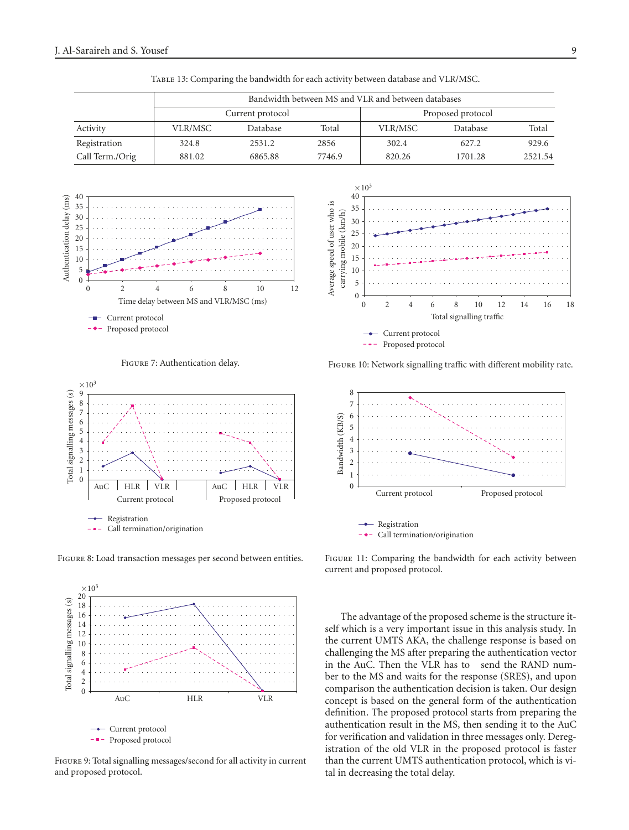|                 | Bandwidth between MS and VLR and between databases |                  |        |                   |                 |         |  |  |  |
|-----------------|----------------------------------------------------|------------------|--------|-------------------|-----------------|---------|--|--|--|
|                 |                                                    | Current protocol |        | Proposed protocol |                 |         |  |  |  |
| Activity        | VLR/MSC                                            | Database         | Total  | VLR/MSC           | <b>Database</b> | Total   |  |  |  |
| Registration    | 324.8                                              | 2531.2           | 2856   | 302.4             | 627.2           | 929.6   |  |  |  |
| Call Term./Orig | 881.02                                             | 6865.88          | 7746.9 | 820.26            | 1701.28         | 2521.54 |  |  |  |

<span id="page-8-0"></span>





<span id="page-8-1"></span>

Figure 8: Load transaction messages per second between entities.

<span id="page-8-2"></span>

<span id="page-8-3"></span>Figure 9: Total signalling messages/second for all activity in current and proposed protocol.



<span id="page-8-4"></span>Figure 10: Network signalling traffic with different mobility rate.



Call termination/origination

<span id="page-8-5"></span>FIGURE 11: Comparing the bandwidth for each activity between current and proposed protocol.

The advantage of the proposed scheme is the structure itself which is a very important issue in this analysis study. In the current UMTS AKA, the challenge response is based on challenging the MS after preparing the authentication vector in the AuC. Then the VLR has to send the RAND number to the MS and waits for the response (SRES), and upon comparison the authentication decision is taken. Our design concept is based on the general form of the authentication definition. The proposed protocol starts from preparing the authentication result in the MS, then sending it to the AuC for verification and validation in three messages only. Deregistration of the old VLR in the proposed protocol is faster than the current UMTS authentication protocol, which is vital in decreasing the total delay.